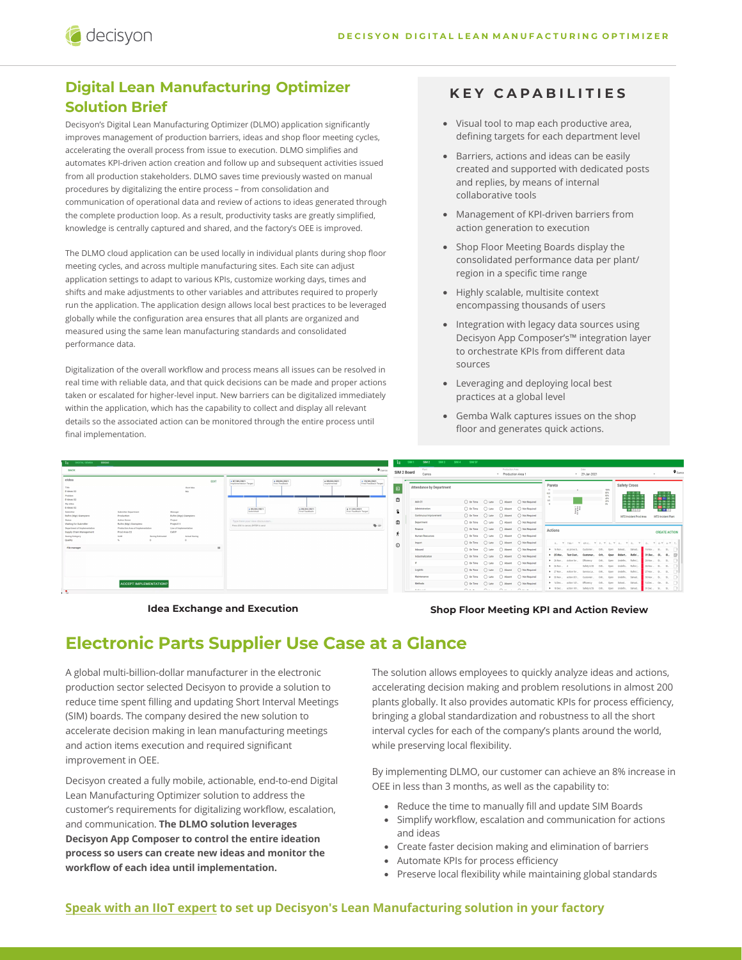decisyon

Decisyon's Digital Lean Manufacturing Optimizer (DLMO) application significantly improves management of production barriers, ideas and shop floor meeting cycles, accelerating the overall process from issue to execution. DLMO simplifies and automates KPI-driven action creation and follow up and subsequent activities issued from all production stakeholders. DLMO saves time previously wasted on manual procedures by digitalizing the entire process – from consolidation and communication of operational data and review of actions to ideas generated through the complete production loop. As a result, productivity tasks are greatly simplified, knowledge is centrally captured and shared, and the factory's OEE is improved.

The DLMO cloud application can be used locally in individual plants during shop floor meeting cycles, and across multiple manufacturing sites. Each site can adjust application settings to adapt to various KPIs, customize working days, times and shifts and make adjustments to other variables and attributes required to properly run the application. The application design allows local best practices to be leveraged globally while the configuration area ensures that all plants are organized and measured using the same lean manufacturing standards and consolidated performance data.

Digitalization of the overall workflow and process means all issues can be resolved in real time with reliable data, and that quick decisions can be made and proper actions taken or escalated for higher-level input. New barriers can be digitalized immediately within the application, which has the capability to collect and display all relevant details so the associated action can be monitored through the entire process until final implementation.

| BACK<br>eldea<br>$+ 07/04/2021$<br>$+ 09/04/2021$<br>$+ 09/04/2021$<br>EDIT<br>Inspiernentesion Targer<br>First Feedback<br>Implemented<br>Tate<br><b>Best Idea</b><br>E-tdeas 02<br>No<br>Preblem<br>E-tdeas 02<br><b>Ny cides</b><br>E-Ideas 02<br>$+ 09(04/202)$<br>$+ 09(04/202)$<br>$+11/04/2021$<br>Submitted<br>Final Feedback<br>First Feedback Tanget<br>Eubmitter Department<br>Manager<br><b>Baltimitter</b><br><b>Rufini (Mgr) Giampiero</b><br>Rufini (Mor) Glampiero<br>Production<br><b>Status</b><br>Artist Owner<br>Project<br>Type here your new discussion.<br>Walting for Submitter<br><b>Pufini (Mgr) Giampiero</b><br>Project11<br>Press ESC to cancer ENTER to send<br>Production Area of Implementation<br>Line of Implementation<br>Department of Implementation<br>Cell P<br>Supply Chain Management<br>Prod Area C2<br><b>UsM</b><br><b>Saving Extimated</b><br>Actual Seving<br><b>Seving Category</b><br>$\alpha$<br>Quality<br>×<br>ù. | $\mathbf{H}$<br>File manager | <b>ONSITAL GENEA</b><br><b>DISAS</b><br>ы |                        |  |  |                                       |
|----------------------------------------------------------------------------------------------------------------------------------------------------------------------------------------------------------------------------------------------------------------------------------------------------------------------------------------------------------------------------------------------------------------------------------------------------------------------------------------------------------------------------------------------------------------------------------------------------------------------------------------------------------------------------------------------------------------------------------------------------------------------------------------------------------------------------------------------------------------------------------------------------------------------------------------------------------------------|------------------------------|-------------------------------------------|------------------------|--|--|---------------------------------------|
|                                                                                                                                                                                                                                                                                                                                                                                                                                                                                                                                                                                                                                                                                                                                                                                                                                                                                                                                                                      |                              |                                           |                        |  |  | $\bullet$ carros                      |
|                                                                                                                                                                                                                                                                                                                                                                                                                                                                                                                                                                                                                                                                                                                                                                                                                                                                                                                                                                      | $\Phi =$                     |                                           |                        |  |  | · 19/04/2021<br>Final Feedback Target |
|                                                                                                                                                                                                                                                                                                                                                                                                                                                                                                                                                                                                                                                                                                                                                                                                                                                                                                                                                                      |                              |                                           |                        |  |  |                                       |
|                                                                                                                                                                                                                                                                                                                                                                                                                                                                                                                                                                                                                                                                                                                                                                                                                                                                                                                                                                      |                              |                                           |                        |  |  |                                       |
|                                                                                                                                                                                                                                                                                                                                                                                                                                                                                                                                                                                                                                                                                                                                                                                                                                                                                                                                                                      |                              |                                           |                        |  |  |                                       |
|                                                                                                                                                                                                                                                                                                                                                                                                                                                                                                                                                                                                                                                                                                                                                                                                                                                                                                                                                                      |                              |                                           |                        |  |  |                                       |
|                                                                                                                                                                                                                                                                                                                                                                                                                                                                                                                                                                                                                                                                                                                                                                                                                                                                                                                                                                      |                              |                                           |                        |  |  |                                       |
|                                                                                                                                                                                                                                                                                                                                                                                                                                                                                                                                                                                                                                                                                                                                                                                                                                                                                                                                                                      |                              |                                           |                        |  |  |                                       |
|                                                                                                                                                                                                                                                                                                                                                                                                                                                                                                                                                                                                                                                                                                                                                                                                                                                                                                                                                                      |                              |                                           | ACCEDT IMPLEMENTATIONS |  |  |                                       |

# **KEY CAPABILITIES**

- Visual tool to map each productive area, defining targets for each department level
- Barriers, actions and ideas can be easily created and supported with dedicated posts and replies, by means of internal collaborative tools
- Management of KPI-driven barriers from action generation to execution
- Shop Floor Meeting Boards display the consolidated performance data per plant/ region in a specific time range
- Highly scalable, multisite context encompassing thousands of users
- Integration with legacy data sources using Decisyon App Composer's™ integration layer to orchestrate KPIs from different data sources
- Leveraging and deploying local best practices at a global level
- Gemba Walk captures issues on the shop floor and generates quick actions.

| SIM 2 Board | Plant<br>Carros                 |                   |                | Production Area<br>Production Area 1<br>× |                |                             |                                             | v.                      | Oate<br>29 Jan 2021       |                                |              |                                                     |                                    | $\mathbf{r}$                   |                      |                  | $\bullet$ carros |
|-------------|---------------------------------|-------------------|----------------|-------------------------------------------|----------------|-----------------------------|---------------------------------------------|-------------------------|---------------------------|--------------------------------|--------------|-----------------------------------------------------|------------------------------------|--------------------------------|----------------------|------------------|------------------|
|             | <b>Attendance by Department</b> |                   |                |                                           |                | Pareto<br>65.5<br><b>IS</b> |                                             |                         |                           | son<br>60%                     | 100%         | <b>Safety Cross</b>                                 | 1/2/3<br>71.8                      |                                |                      | 1:12:12          |                  |
|             | A4A 01                          | $\bigcap$ On Time | $\bigcap$ Late | ∩ Absent                                  | ∩ Not Required | 8.6                         |                                             |                         |                           | 40%<br>20%<br><b>ISS</b>       |              |                                                     | m<br><b>BOTTOM</b><br>20 21 22 23  |                                |                      |                  |                  |
|             | Administration                  | $\bigcap$ On Time | $\bigcap$ Late | <b>Absent</b><br>O                        | ○ Not Required |                             |                                             | <b>Service</b>          |                           |                                |              |                                                     | 24 25 26 27 28<br>22 000 000       |                                |                      | 2911271128       |                  |
|             | Continuous Improvement          | ○ On Time         | Link           | Absent                                    | Not Required   |                             |                                             |                         |                           |                                |              | MTD Incident Prod Area<br><b>MTD Incident Plant</b> |                                    |                                |                      |                  |                  |
|             | <b>Oepartment</b>               | ○ On Time         | ∩ Late         | Absent<br>с                               | Ret Required   |                             |                                             |                         |                           |                                |              |                                                     |                                    |                                |                      |                  |                  |
|             | Finance                         | ∩ On Time         | $\bigcap$ Late | <b>Absent</b><br>с                        | Not Required   |                             | <b>Actions</b>                              |                         |                           |                                |              |                                                     |                                    |                                | <b>CREATE ACTION</b> |                  |                  |
|             | <b>Human Resources</b>          | ○ On Time         | $\bigcap$ Late | <b>Absent</b>                             | Not Required   |                             |                                             |                         |                           |                                |              |                                                     |                                    |                                |                      |                  |                  |
|             | Import                          | ○ On Time         | $\bigcap$ Late | <b>Absent</b><br>c                        | ○ Not Required |                             | $\sim$<br>$\Omega$                          | $\mathbf{v}$<br>Yirin v | $\mathcal{L}$<br>KRC.     | $p_{\perp}$ . $\overline{\nu}$ | 8.7          | $-$<br>$O_{-}$                                      | $\mathfrak{g}_\infty=\mathfrak{p}$ | w.<br>$\sim$                   |                      | $0.7.8.7.7.$     |                  |
|             | Inbound                         | $\bigcap$ On Time | $\bigcap$ Late | <b>Absent</b><br>∩                        | ○ Not Required |                             | $+$ 16 Nov.                                 | ac prova b              | Customer                  | Office                         | Open         | Salvad.                                             | Salvad.                            | 16 Nov., St.,                  |                      | 2.               | n                |
|             | Industrialization               | $\bigcap$ On Time | $\bigcap$ Late | <b>Absent</b><br>∩                        | ∩ Not Required |                             | $-25$ Ny $-$                                | Test Cast.              | Customer                  | Crit.                          | Open         | Robert                                              | Putfel                             | 31 Dec., St., St.,             |                      |                  | 72               |
|             | r#                              | ○ On Time         | $\cap$ Late    | <b>Absent</b>                             | Not Required   |                             | $-26$ Nev                                   | Action for              | Efficiency                | OH                             | Open         | Undefin.                                            | Robel C.                           | 26 Nov., \$1.                  |                      | $-31 -$          | n                |
|             | Locatic                         | $\bigcap$ On Time | $\bigcap$ Late | <b>Absent</b><br>∩                        | ∩ Not Required |                             | > 25NW., A<br>$\blacktriangleright$ 27 Nov. | Action for              | Safety & SS<br>Senice Le. | OIEL.<br>OIL.                  | Open<br>Open | untefin.<br>untefin.                                | Refini C.<br>Pafei C.              | 26 Nov., St.,<br>27 Nov., St., |                      | $-81 -$<br>$-21$ | n<br>B           |
|             | Maintenance                     | ∩ On Time         | $\bigcap$ Late | <b>Absent</b><br>∩                        | ∩ Not Required |                             | $+ 30$ Nev.                                 | action 301.             | Customer                  | Office                         | Open         | Undefin.                                            | Salvad.                            | 30 Nov., St., St.,             |                      |                  | . .              |
|             | Methods                         | $\bigcap$ On Time | $\bigcap$ Late | ∩ Absent                                  | ∩ Not Required |                             | $+ 140ec$                                   | action 141.             | Efficiency                | OH                             | Open         | Salvad.                                             | Salvad.                            | 140ec. Gr. St.                 |                      |                  | ш                |
|             |                                 |                   |                |                                           |                |                             |                                             |                         |                           |                                |              |                                                     |                                    |                                |                      |                  |                  |

#### **Idea Exchange and Execution Shop Floor Meeting KPI and Action Review**

# **Electronic Parts Supplier Use Case at a Glance**

A global multi-billion-dollar manufacturer in the electronic production sector selected Decisyon to provide a solution to reduce time spent filling and updating Short Interval Meetings (SIM) boards. The company desired the new solution to accelerate decision making in lean manufacturing meetings and action items execution and required significant improvement in OEE.

Decisyon created a fully mobile, actionable, end-to-end Digital Lean Manufacturing Optimizer solution to address the customer's requirements for digitalizing workflow, escalation, and communication. **The DLMO solution leverages Decisyon App Composer to control the entire ideation process so users can create new ideas and monitor the workflow of each idea until implementation.**

The solution allows employees to quickly analyze ideas and actions, accelerating decision making and problem resolutions in almost 200 plants globally. It also provides automatic KPIs for process efficiency, bringing a global standardization and robustness to all the short interval cycles for each of the company's plants around the world, while preserving local flexibility.

By implementing DLMO, our customer can achieve an 8% increase in OEE in less than 3 months, as well as the capability to:

- Reduce the time to manually fill and update SIM Boards
- Simplify workflow, escalation and communication for actions and ideas
- Create faster decision making and elimination of barriers
- Automate KPIs for process efficiency
- Preserve local flexibility while maintaining global standards

#### **[Speak with an IIoT expert](https://decisyon.com/contact-us/) to set up Decisyon's Lean Manufacturing solution in your factory**